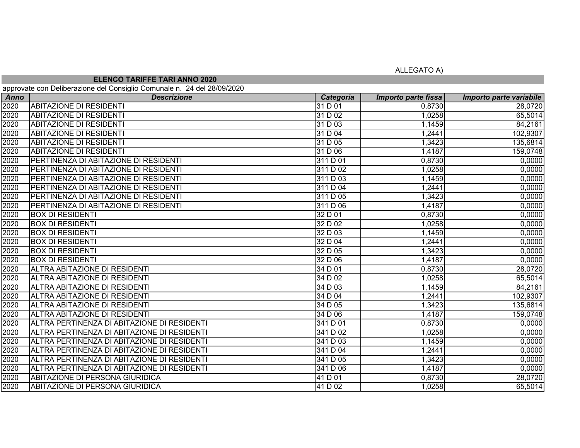ALLEGATO A)

## **ELENCO TARIFFE TARI ANNO 2020**

approvate con Deliberazione del Consiglio Comunale n. 24 del 28/09/2020

| .<br>Anno | <b>Descrizione</b>                          | Categoria | Importo parte fissa | Importo parte variabile |
|-----------|---------------------------------------------|-----------|---------------------|-------------------------|
| 2020      | <b>ABITAZIONE DI RESIDENTI</b>              | 31 D 01   | 0,8730              | 28,0720                 |
| 2020      | <b>ABITAZIONE DI RESIDENTI</b>              | 31D02     | 1,0258              | 65,5014                 |
| 2020      | <b>ABITAZIONE DI RESIDENTI</b>              | 31 D 03   | 1,1459              | 84,2161                 |
| 2020      | <b>ABITAZIONE DI RESIDENTI</b>              | 31 D 04   | 1,2441              | 102,9307                |
| 2020      | <b>ABITAZIONE DI RESIDENTI</b>              | 31 D 05   | 1,3423              | 135,6814                |
| 2020      | <b>ABITAZIONE DI RESIDENTI</b>              | 31 D 06   | 1,4187              | 159,0748                |
| 2020      | PERTINENZA DI ABITAZIONE DI RESIDENTI       | 311 D 01  | 0,8730              | 0,0000                  |
| 2020      | PERTINENZA DI ABITAZIONE DI RESIDENTI       | 311 D 02  | 1,0258              | 0,0000                  |
| 2020      | PERTINENZA DI ABITAZIONE DI RESIDENTI       | 311 D 03  | 1,1459              | 0,0000                  |
| 2020      | PERTINENZA DI ABITAZIONE DI RESIDENTI       | 311 D 04  | 1,2441              | 0,0000                  |
| 2020      | PERTINENZA DI ABITAZIONE DI RESIDENTI       | 311 D 05  | 1,3423              | 0,0000                  |
| 2020      | PERTINENZA DI ABITAZIONE DI RESIDENTI       | 311 D 06  | 1,4187              | 0,0000                  |
| 2020      | <b>BOX DI RESIDENTI</b>                     | 32D01     | 0,8730              | 0,0000                  |
| 2020      | <b>BOX DI RESIDENTI</b>                     | 32D02     | 1,0258              | 0,0000                  |
| 2020      | <b>BOX DI RESIDENTI</b>                     | 32 D 03   | 1,1459              | 0,0000                  |
| 2020      | <b>BOX DI RESIDENTI</b>                     | 32 D 04   | 1,2441              | 0,0000                  |
| 2020      | <b>BOX DI RESIDENTI</b>                     | 32 D 05   | 1,3423              | 0,0000                  |
| 2020      | <b>BOX DI RESIDENTI</b>                     | 32 D 06   | 1,4187              | 0,0000                  |
| 2020      | ALTRA ABITAZIONE DI RESIDENTI               | 34 D 01   | 0,8730              | 28,0720                 |
| 2020      | ALTRA ABITAZIONE DI RESIDENTI               | 34 D 02   | 1,0258              | 65,5014                 |
| 2020      | <b>ALTRA ABITAZIONE DI RESIDENTI</b>        | 34 D 03   | 1,1459              | 84,2161                 |
| 2020      | ALTRA ABITAZIONE DI RESIDENTI               | 34 D 04   | 1,2441              | 102,9307                |
| 2020      | ALTRA ABITAZIONE DI RESIDENTI               | 34 D 05   | 1,3423              | 135,6814                |
| 2020      | ALTRA ABITAZIONE DI RESIDENTI               | 34 D 06   | 1,4187              | 159,0748                |
| 2020      | ALTRA PERTINENZA DI ABITAZIONE DI RESIDENTI | 341 D 01  | 0,8730              | 0,0000                  |
| 2020      | ALTRA PERTINENZA DI ABITAZIONE DI RESIDENTI | 341 D 02  | 1,0258              | 0,0000                  |
| 2020      | ALTRA PERTINENZA DI ABITAZIONE DI RESIDENTI | 341 D 03  | 1,1459              | 0,0000                  |
| 2020      | ALTRA PERTINENZA DI ABITAZIONE DI RESIDENTI | 341 D 04  | 1,2441              | 0,0000                  |
| 2020      | ALTRA PERTINENZA DI ABITAZIONE DI RESIDENTI | 341 D 05  | 1,3423              | 0,0000                  |
| 2020      | ALTRA PERTINENZA DI ABITAZIONE DI RESIDENTI | 341 D 06  | 1,4187              | 0,0000                  |
| 2020      | ABITAZIONE DI PERSONA GIURIDICA             | 41 D 01   | 0,8730              | 28,0720                 |
| 2020      | <b>ABITAZIONE DI PERSONA GIURIDICA</b>      | 41 D 02   | 1,0258              | 65,5014                 |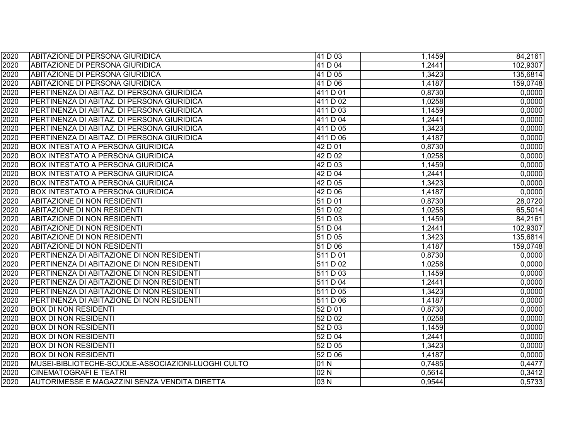| 2020 | ABITAZIONE DI PERSONA GIURIDICA                    | 41 D 03              | 1,1459 | 84,2161  |
|------|----------------------------------------------------|----------------------|--------|----------|
| 2020 | <b>ABITAZIONE DI PERSONA GIURIDICA</b>             | 41 D 04              | 1,2441 | 102,9307 |
| 2020 | <b>ABITAZIONE DI PERSONA GIURIDICA</b>             | 41 D 05              | 1,3423 | 135,6814 |
| 2020 | <b>ABITAZIONE DI PERSONA GIURIDICA</b>             | 41 D 06              | 1,4187 | 159,0748 |
| 2020 | PERTINENZA DI ABITAZ. DI PERSONA GIURIDICA         | 411 D 01             | 0,8730 | 0,0000   |
| 2020 | PERTINENZA DI ABITAZ. DI PERSONA GIURIDICA         | 411 D 02             | 1,0258 | 0,0000   |
| 2020 | PERTINENZA DI ABITAZ. DI PERSONA GIURIDICA         | 411 D 03             | 1,1459 | 0,0000   |
| 2020 | PERTINENZA DI ABITAZ. DI PERSONA GIURIDICA         | 411 D 04             | 1,2441 | 0,0000   |
| 2020 | PERTINENZA DI ABITAZ. DI PERSONA GIURIDICA         | 411 D 05             | 1,3423 | 0,0000   |
| 2020 | PERTINENZA DI ABITAZ. DI PERSONA GIURIDICA         | 411 D 06             | 1,4187 | 0,0000   |
| 2020 | <b>BOX INTESTATO A PERSONA GIURIDICA</b>           | 42 D 01              | 0,8730 | 0,0000   |
| 2020 | <b>BOX INTESTATO A PERSONA GIURIDICA</b>           | 42 D 02              | 1,0258 | 0,0000   |
| 2020 | <b>BOX INTESTATO A PERSONA GIURIDICA</b>           | 42 D 03              | 1,1459 | 0,0000   |
| 2020 | <b>BOX INTESTATO A PERSONA GIURIDICA</b>           | 42 D 04              | 1,2441 | 0,0000   |
| 2020 | <b>BOX INTESTATO A PERSONA GIURIDICA</b>           | 42 D 05              | 1,3423 | 0,0000   |
| 2020 | <b>BOX INTESTATO A PERSONA GIURIDICA</b>           | 42 D 06              | 1,4187 | 0,0000   |
| 2020 | <b>ABITAZIONE DI NON RESIDENTI</b>                 | 51 D 01              | 0,8730 | 28,0720  |
| 2020 | <b>ABITAZIONE DI NON RESIDENTI</b>                 | $\overline{51}$ D 02 | 1,0258 | 65,5014  |
| 2020 | <b>ABITAZIONE DI NON RESIDENTI</b>                 | 51 D 03              | 1,1459 | 84,2161  |
| 2020 | <b>ABITAZIONE DI NON RESIDENTI</b>                 | 51 D 04              | 1,2441 | 102,9307 |
| 2020 | <b>ABITAZIONE DI NON RESIDENTI</b>                 | 51 D 05              | 1,3423 | 135,6814 |
| 2020 | <b>ABITAZIONE DI NON RESIDENTI</b>                 | 51 D 06              | 1,4187 | 159,0748 |
| 2020 | PERTINENZA DI ABITAZIONE DI NON RESIDENTI          | 511 D 01             | 0,8730 | 0,0000   |
| 2020 | PERTINENZA DI ABITAZIONE DI NON RESIDENTI          | 511 D 02             | 1,0258 | 0,0000   |
| 2020 | PERTINENZA DI ABITAZIONE DI NON RESIDENTI          | 511 D 03             | 1,1459 | 0,0000   |
| 2020 | PERTINENZA DI ABITAZIONE DI NON RESIDENTI          | 511 D 04             | 1,2441 | 0,0000   |
| 2020 | PERTINENZA DI ABITAZIONE DI NON RESIDENTI          | 511 D 05             | 1,3423 | 0,0000   |
| 2020 | PERTINENZA DI ABITAZIONE DI NON RESIDENTI          | 511 D 06             | 1,4187 | 0,0000   |
| 2020 | <b>BOX DI NON RESIDENTI</b>                        | 52 D 01              | 0,8730 | 0,0000   |
| 2020 | <b>BOX DI NON RESIDENTI</b>                        | 52 D 02              | 1,0258 | 0,0000   |
| 2020 | <b>BOX DI NON RESIDENTI</b>                        | 52 D 03              | 1,1459 | 0,0000   |
| 2020 | <b>BOX DI NON RESIDENTI</b>                        | 52 D 04              | 1,2441 | 0,0000   |
| 2020 | <b>BOX DI NON RESIDENTI</b>                        | 52 D 05              | 1,3423 | 0,0000   |
| 2020 | <b>BOX DI NON RESIDENTI</b>                        | 52 D 06              | 1,4187 | 0,0000   |
| 2020 | MUSEI-BIBLIOTECHE-SCUOLE-ASSOCIAZIONI-LUOGHI CULTO | 01N                  | 0,7485 | 0,4477   |
| 2020 | <b>CINEMATOGRAFI E TEATRI</b>                      | 02N                  | 0,5614 | 0,3412   |
| 2020 | AUTORIMESSE E MAGAZZINI SENZA VENDITA DIRETTA      | 03N                  | 0,9544 | 0,5733   |